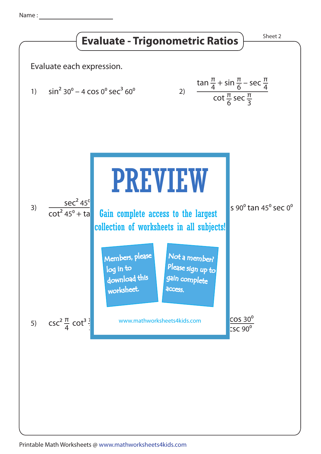